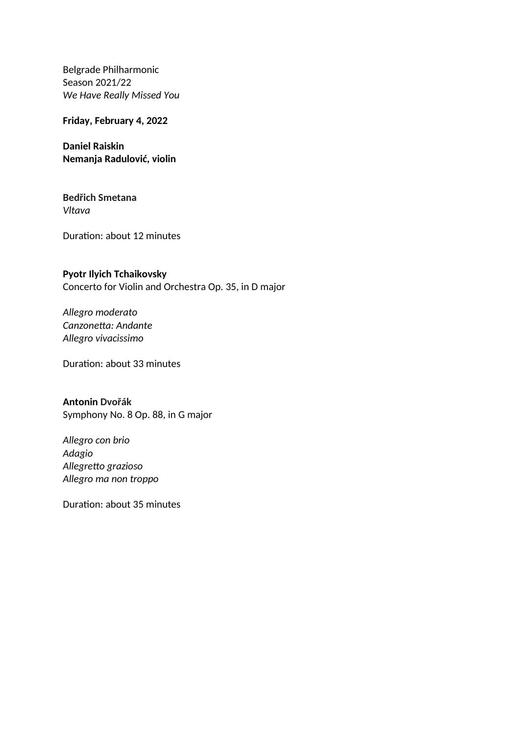Belgrade Philharmonic Season 2021/22 *We Have Really Missed You* 

**Friday, February 4, 2022**

**Daniel Raiskin Nemanja Radulović, violin**

## **Bedřich Smetana** *Vltava*

Duration: about 12 minutes

## **Pyotr Ilyich Tchaikovsky**

Concerto for Violin and Orchestra Op. 35, in D major

*Allegro moderato Canzonetta: Andante Allegro vivacissimo*

Duration: about 33 minutes

## **Antonin Dvořák**

Symphony No. 8 Op. 88, in G major

*Allegro con brio Adagio Allegretto grazioso Allegro ma non troppo*

Duration: about 35 minutes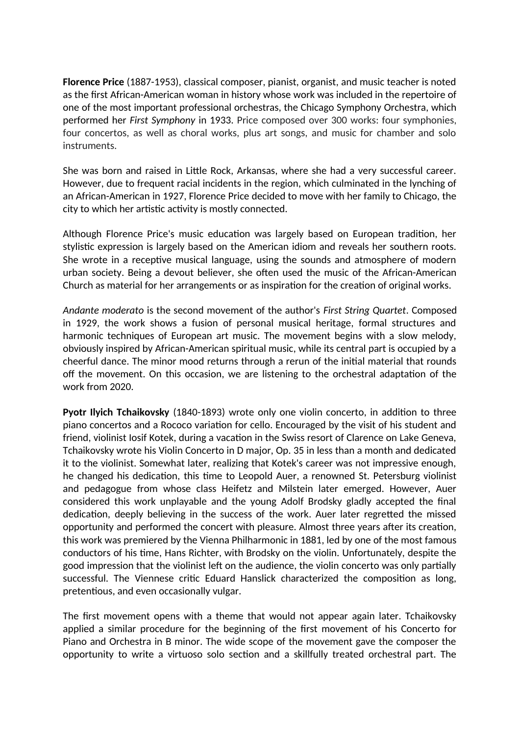**Florence Price** (1887-1953), classical composer, pianist, organist, and music teacher is noted as the first African-American woman in history whose work was included in the repertoire of one of the most important professional orchestras, the Chicago Symphony Orchestra, which performed her *First Symphony* in 1933. Price composed over 300 works: four symphonies, four concertos, as well as choral works, plus art songs, and music for chamber and solo instruments.

She was born and raised in Little Rock, Arkansas, where she had a very successful career. However, due to frequent racial incidents in the region, which culminated in the lynching of an African-American in 1927, Florence Price decided to move with her family to Chicago, the city to which her artistic activity is mostly connected.

Although Florence Price's music education was largely based on European tradition, her stylistic expression is largely based on the American idiom and reveals her southern roots. She wrote in a receptive musical language, using the sounds and atmosphere of modern urban society. Being a devout believer, she often used the music of the African-American Church as material for her arrangements or as inspiration for the creation of original works.

*Andante moderato* is the second movement of the author's *First String Quartet*. Composed in 1929, the work shows a fusion of personal musical heritage, formal structures and harmonic techniques of European art music. The movement begins with a slow melody, obviously inspired by African-American spiritual music, while its central part is occupied by a cheerful dance. The minor mood returns through a rerun of the initial material that rounds off the movement. On this occasion, we are listening to the orchestral adaptation of the work from 2020.

**Pyotr Ilyich Tchaikovsky** (1840-1893) wrote only one violin concerto, in addition to three piano concertos and a Rococo variation for cello. Encouraged by the visit of his student and friend, violinist Iosif Kotek, during a vacation in the Swiss resort of Clarence on Lake Geneva, Tchaikovsky wrote his Violin Concerto in D major, Op. 35 in less than a month and dedicated it to the violinist. Somewhat later, realizing that Kotek's career was not impressive enough, he changed his dedication, this time to Leopold Auer, a renowned St. Petersburg violinist and pedagogue from whose class Heifetz and Milstein later emerged. However, Auer considered this work unplayable and the young Adolf Brodsky gladly accepted the final dedication, deeply believing in the success of the work. Auer later regretted the missed opportunity and performed the concert with pleasure. Almost three years after its creation, this work was premiered by the Vienna Philharmonic in 1881, led by one of the most famous conductors of his time, Hans Richter, with Brodsky on the violin. Unfortunately, despite the good impression that the violinist left on the audience, the violin concerto was only partially successful. The Viennese critic Eduard Hanslick characterized the composition as long, pretentious, and even occasionally vulgar.

The first movement opens with a theme that would not appear again later. Tchaikovsky applied a similar procedure for the beginning of the first movement of his Concerto for Piano and Orchestra in B minor. The wide scope of the movement gave the composer the opportunity to write a virtuoso solo section and a skillfully treated orchestral part. The